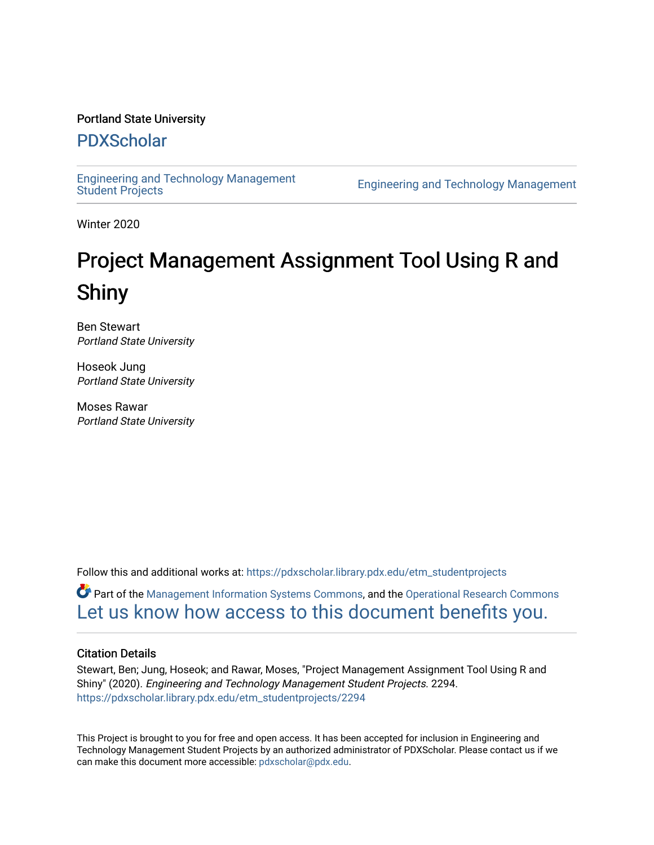#### Portland State University

## [PDXScholar](https://pdxscholar.library.pdx.edu/)

[Engineering and Technology Management](https://pdxscholar.library.pdx.edu/etm_studentprojects) 

**Engineering and Technology Management** 

Winter 2020

# Project Management Assignment Tool Using R and Shiny

Ben Stewart Portland State University

Hoseok Jung Portland State University

Moses Rawar Portland State University

Follow this and additional works at: [https://pdxscholar.library.pdx.edu/etm\\_studentprojects](https://pdxscholar.library.pdx.edu/etm_studentprojects?utm_source=pdxscholar.library.pdx.edu%2Fetm_studentprojects%2F2294&utm_medium=PDF&utm_campaign=PDFCoverPages) 

Part of the [Management Information Systems Commons,](http://network.bepress.com/hgg/discipline/636?utm_source=pdxscholar.library.pdx.edu%2Fetm_studentprojects%2F2294&utm_medium=PDF&utm_campaign=PDFCoverPages) and the [Operational Research Commons](http://network.bepress.com/hgg/discipline/308?utm_source=pdxscholar.library.pdx.edu%2Fetm_studentprojects%2F2294&utm_medium=PDF&utm_campaign=PDFCoverPages)  [Let us know how access to this document benefits you.](http://library.pdx.edu/services/pdxscholar-services/pdxscholar-feedback/?ref=https://pdxscholar.library.pdx.edu/etm_studentprojects/2294) 

#### Citation Details

Stewart, Ben; Jung, Hoseok; and Rawar, Moses, "Project Management Assignment Tool Using R and Shiny" (2020). Engineering and Technology Management Student Projects. 2294. [https://pdxscholar.library.pdx.edu/etm\\_studentprojects/2294](https://pdxscholar.library.pdx.edu/etm_studentprojects/2294?utm_source=pdxscholar.library.pdx.edu%2Fetm_studentprojects%2F2294&utm_medium=PDF&utm_campaign=PDFCoverPages)

This Project is brought to you for free and open access. It has been accepted for inclusion in Engineering and Technology Management Student Projects by an authorized administrator of PDXScholar. Please contact us if we can make this document more accessible: [pdxscholar@pdx.edu.](mailto:pdxscholar@pdx.edu)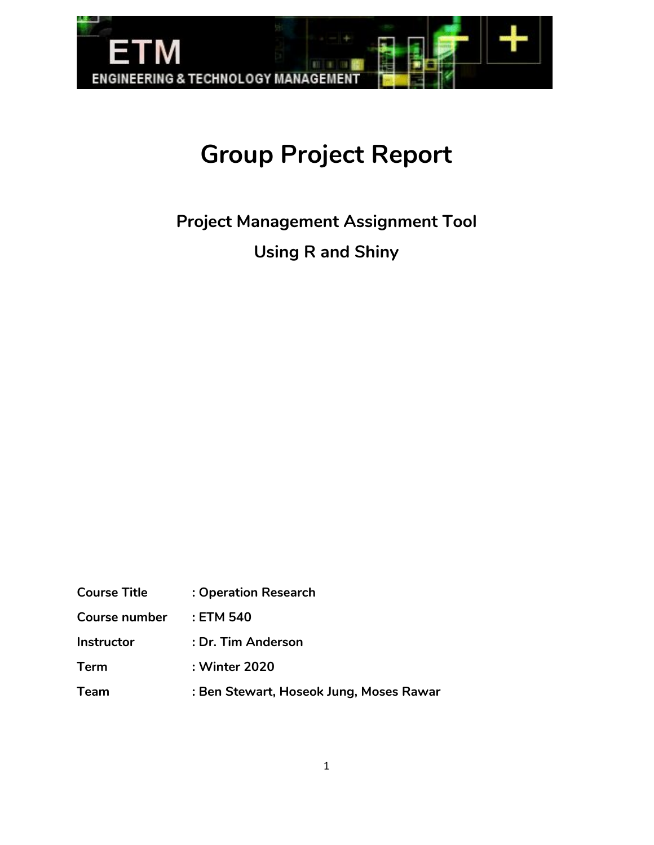

# **Group Project Report**

**Project Management Assignment Tool Using R and Shiny**

| <b>Course Title</b>  | : Operation Research                    |
|----------------------|-----------------------------------------|
| <b>Course number</b> | : ETM 540                               |
| <b>Instructor</b>    | : Dr. Tim Anderson                      |
| <b>Term</b>          | : Winter 2020                           |
| <b>Team</b>          | : Ben Stewart, Hoseok Jung, Moses Rawar |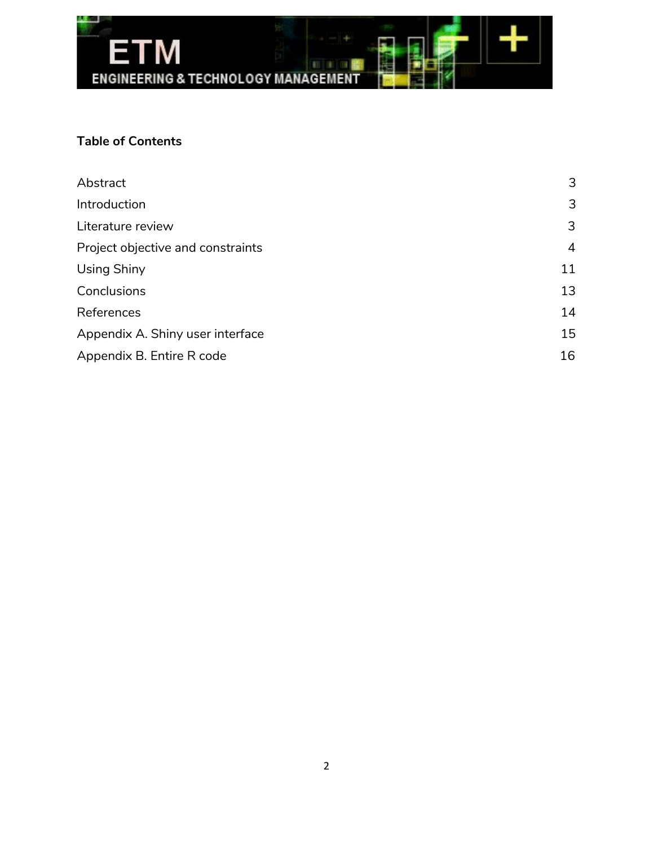

## **Table of Contents**

| Abstract                          | 3              |
|-----------------------------------|----------------|
| Introduction                      | 3              |
| Literature review                 | 3              |
| Project objective and constraints | $\overline{4}$ |
| Using Shiny                       | 11             |
| Conclusions                       | 13             |
| References                        | 14             |
| Appendix A. Shiny user interface  | 15             |
| Appendix B. Entire R code         | 16             |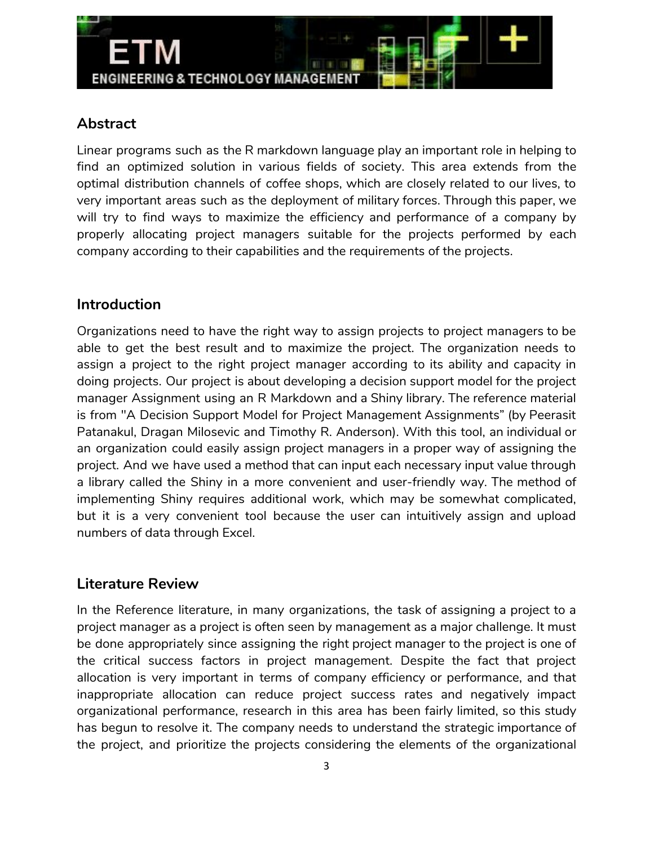

## **Abstract**

<span id="page-3-0"></span>Linear programs such as the R markdown language play an important role in helping to find an optimized solution in various fields of society. This area extends from the optimal distribution channels of coffee shops, which are closely related to our lives, to very important areas such as the deployment of military forces. Through this paper, we will try to find ways to maximize the efficiency and performance of a company by properly allocating project managers suitable for the projects performed by each company according to their capabilities and the requirements of the projects.

## **Introduction**

Organizations need to have the right way to assign projects to project managers to be able to get the best result and to maximize the project. The organization needs to assign a project to the right project manager according to its ability and capacity in doing projects. Our project is about developing a decision support model for the project manager Assignment using an R Markdown and a Shiny library. The reference material is from "A Decision Support Model for Project Management Assignments" (by Peerasit Patanakul, Dragan Milosevic and Timothy R. Anderson). With this tool, an individual or an organization could easily assign project managers in a proper way of assigning the project. And we have used a method that can input each necessary input value through a library called the Shiny in a more convenient and user-friendly way. The method of implementing Shiny requires additional work, which may be somewhat complicated, but it is a very convenient tool because the user can intuitively assign and upload numbers of data through Excel.

## **Literature Review**

In the Reference literature, in many organizations, the task of assigning a project to a project manager as a project is often seen by management as a major challenge. It must be done appropriately since assigning the right project manager to the project is one of the critical success factors in project management. Despite the fact that project allocation is very important in terms of company efficiency or performance, and that inappropriate allocation can reduce project success rates and negatively impact organizational performance, research in this area has been fairly limited, so this study has begun to resolve it. The company needs to understand the strategic importance of the project, and prioritize the projects considering the elements of the organizational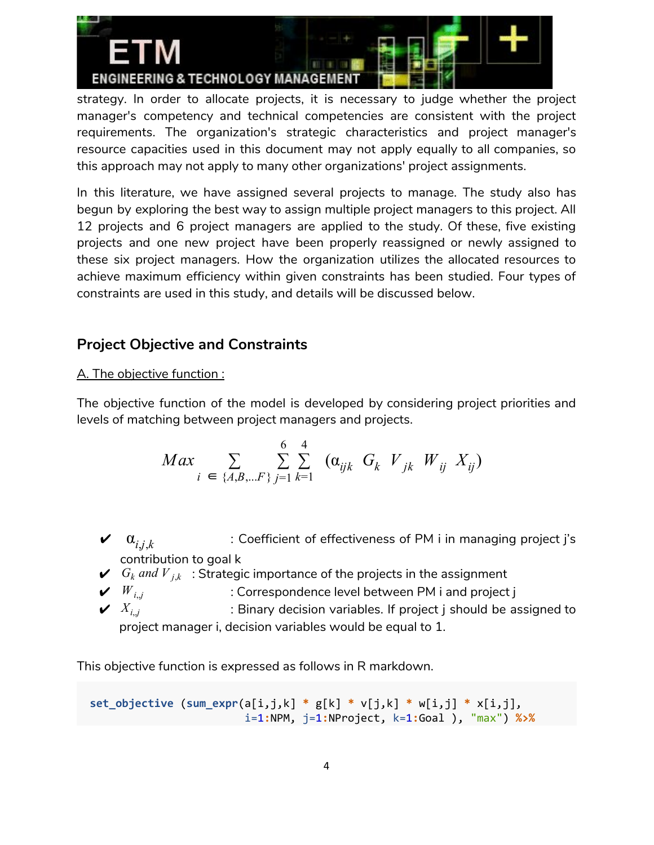

strategy. In order to allocate projects, it is necessary to judge whether the project manager's competency and technical competencies are consistent with the project requirements. The organization's strategic characteristics and project manager's resource capacities used in this document may not apply equally to all companies, so this approach may not apply to many other organizations' project assignments.

In this literature, we have assigned several projects to manage. The study also has begun by exploring the best way to assign multiple project managers to this project. All 12 projects and 6 project managers are applied to the study. Of these, five existing projects and one new project have been properly reassigned or newly assigned to these six project managers. How the organization utilizes the allocated resources to achieve maximum efficiency within given constraints has been studied. Four types of constraints are used in this study, and details will be discussed below.

# **Project Objective and Constraints**

### A. The objective function :

The objective function of the model is developed by considering project priorities and levels of matching between project managers and projects.

$$
Max \sum_{i \in \{A, B, \dots F\}} \sum_{j=1}^{6} \sum_{k=1}^{4} (\alpha_{ijk} G_k V_{jk} W_{ij} X_{ij})
$$

- $\boldsymbol{\nu}$   $\alpha_{i,j,k}$ : Coefficient of effectiveness of PM i in managing project j's contribution to goal k
- $\boldsymbol{\checkmark}$  *G*<sub>k</sub> and  $\boldsymbol{V}_{j,k}$ : Strategic importance of the projects in the assignment
- $\boldsymbol{v}$   $W_{i,j}$   $=$   $\boldsymbol{v}$  : Correspondence level between PM i and project j
- $\boldsymbol{\mathsf{v}}$   $X_{i,j}$   $\hspace{1cm}$  : Binary decision variables. If project j should be assigned to project manager i, decision variables would be equal to 1.

This objective function is expressed as follows in R markdown.

**set\_objective** (**sum\_expr**(a[i,j,k] **\*** g[k] **\*** v[j,k] **\*** w[i,j] **\*** x[i,j], i=1**:**NPM, j=1**:**NProject, k=1**:**Goal ), "max") **%>%**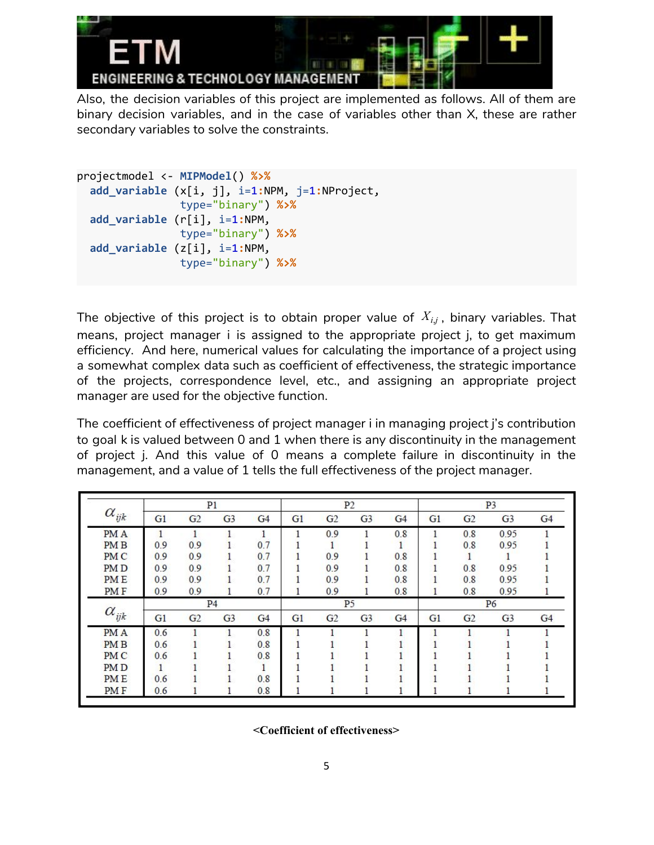

Also, the decision variables of this project are implemented as follows. All of them are binary decision variables, and in the case of variables other than X, these are rather secondary variables to solve the constraints.

```
projectmodel <- MIPModel() %>%
 add_variable (x[i, j], i=1:NPM, j=1:NProject,
                type="binary") %>%
 add_variable (r[i], i=1:NPM,
                type="binary") %>%
 add_variable (z[i], i=1:NPM,
                type="binary") %>%
```
The objective of this project is to obtain proper value of *Xi*,*<sup>j</sup>* , binary variables. That means, project manager i is assigned to the appropriate project j, to get maximum efficiency. And here, numerical values for calculating the importance of a project using a somewhat complex data such as coefficient of effectiveness, the strategic importance of the projects, correspondence level, etc., and assigning an appropriate project manager are used for the objective function.

The coefficient of effectiveness of project manager i in managing project j's contribution to goal k is valued between 0 and 1 when there is any discontinuity in the management of project j. And this value of 0 means a complete failure in discontinuity in the management, and a value of 1 tells the full effectiveness of the project manager.

|                 |              |                | P1             |                |    |                | P <sub>2</sub> |     |    |                | P <sub>3</sub> |                |
|-----------------|--------------|----------------|----------------|----------------|----|----------------|----------------|-----|----|----------------|----------------|----------------|
| $\alpha_{ijk}$  | G1           | G <sub>2</sub> | G <sub>3</sub> | G <sub>4</sub> | G1 | G2             | G <sub>3</sub> | G4  | G1 | G2             | G <sub>3</sub> | G <sub>4</sub> |
| PM A            | $\mathbf{1}$ |                |                |                |    | 0.9            |                | 0.8 |    | 0.8            | 0.95           |                |
| PM <sub>B</sub> | 0.9          | 0.9            |                | 0.7            |    |                |                | 1   |    | 0.8            | 0.95           |                |
| PM <sub>C</sub> | 0.9          | 0.9            |                | 0.7            |    | 0.9            |                | 0.8 |    |                |                |                |
| PM <sub>D</sub> | 0.9          | 0.9            |                | 0.7            |    | 0.9            |                | 0.8 |    | 0.8            | 0.95           |                |
| <b>PME</b>      | 0.9          | 0.9            |                | 0.7            |    | 0.9            |                | 0.8 |    | 0.8            | 0.95           |                |
| PMF             | 0.9          | 0.9            |                | 0.7            |    | 0.9            | 1              | 0.8 |    | 0.8            | 0.95           |                |
|                 |              |                | P <sub>4</sub> |                |    |                | P <sub>5</sub> |     |    |                | P <sub>6</sub> |                |
| $\alpha_{ijk}$  | G1           | G <sub>2</sub> | G <sub>3</sub> | G <sub>4</sub> | G1 | G <sub>2</sub> | G <sub>3</sub> | G4  | G1 | G <sub>2</sub> | G <sub>3</sub> | G4             |
| PM A            | 0.6          |                | 1              | 0.8            |    |                |                | 1   |    |                |                |                |
| PM <sub>B</sub> | 0.6          |                |                | 0.8            |    |                |                |     |    |                |                |                |
| PM C            | 0.6          |                |                | 0.8            |    |                |                |     |    |                |                |                |
| PM <sub>D</sub> |              |                |                |                |    |                |                |     |    |                |                |                |
| <b>PME</b>      | 0.6          |                |                | 0.8            |    |                |                |     |    |                |                |                |
| PM F            | 0.6          |                |                | 0.8            |    |                |                |     |    |                |                |                |

**<Coefficient of effectiveness>**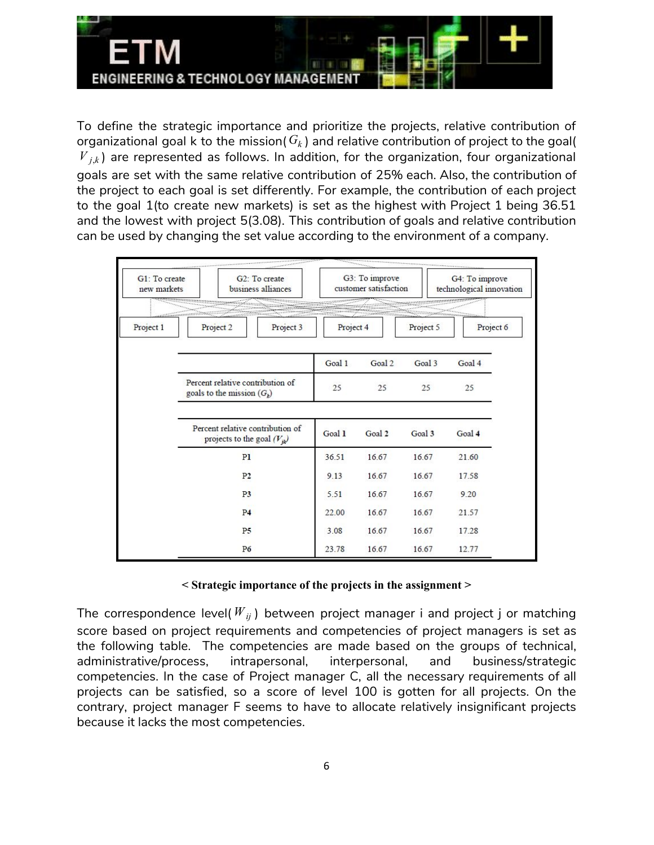

To define the strategic importance and prioritize the projects, relative contribution of organizational goal k to the mission( $G_k$ ) and relative contribution of project to the goal(  $V_{i,k}$ ) are represented as follows. In addition, for the organization, four organizational goals are set with the same relative contribution of 25% each. Also, the contribution of the project to each goal is set differently. For example, the contribution of each project to the goal 1(to create new markets) is set as the highest with Project 1 being 36.51 and the lowest with project 5(3.08). This contribution of goals and relative contribution can be used by changing the set value according to the environment of a company.

| G1: To create<br>new markets<br><u> 1999 - Albert Albert Albert III, amerikan bera</u> |                              | G3: To improve<br>G <sub>2</sub> : To create<br>customer satisfaction<br>business alliances |           |        | G4: To improve<br>technological innovation |           |
|----------------------------------------------------------------------------------------|------------------------------|---------------------------------------------------------------------------------------------|-----------|--------|--------------------------------------------|-----------|
| Project 1                                                                              | Project 2                    | Project 3                                                                                   | Project 4 |        | Project 5                                  | Project 6 |
|                                                                                        |                              |                                                                                             | Goal 1    | Goal 2 | Goal 3                                     | Goal 4    |
|                                                                                        | goals to the mission $(G_k)$ | Percent relative contribution of                                                            | 25        | 25     | 25                                         | 25        |
|                                                                                        |                              | Percent relative contribution of<br>projects to the goal $(V_{jk})$                         | Goal 1    | Goal 2 | Goal 3                                     | Goal 4    |
|                                                                                        |                              | P <sub>1</sub>                                                                              | 36.51     | 16.67  | 16.67                                      | 21.60     |
|                                                                                        |                              | P <sub>2</sub>                                                                              | 9.13      | 16.67  | 16.67                                      | 17.58     |
|                                                                                        |                              | P <sub>3</sub>                                                                              | 5.51      | 16.67  | 16.67                                      | 9.20      |
|                                                                                        |                              | P <sub>4</sub>                                                                              | 22.00     | 16.67  | 16.67                                      | 21.57     |
|                                                                                        |                              | P5                                                                                          | 3.08      | 16.67  | 16.67                                      | 17.28     |
|                                                                                        |                              | P6                                                                                          | 23.78     | 16.67  | 16.67                                      | 12.77     |

#### **< Strategic importance of the projects in the assignment >**

The correspondence level( $W_{ij}$ ) between project manager i and project j or matching score based on project requirements and competencies of project managers is set as the following table. The competencies are made based on the groups of technical, administrative/process, intrapersonal, interpersonal, and business/strategic competencies. In the case of Project manager C, all the necessary requirements of all projects can be satisfied, so a score of level 100 is gotten for all projects. On the contrary, project manager F seems to have to allocate relatively insignificant projects because it lacks the most competencies.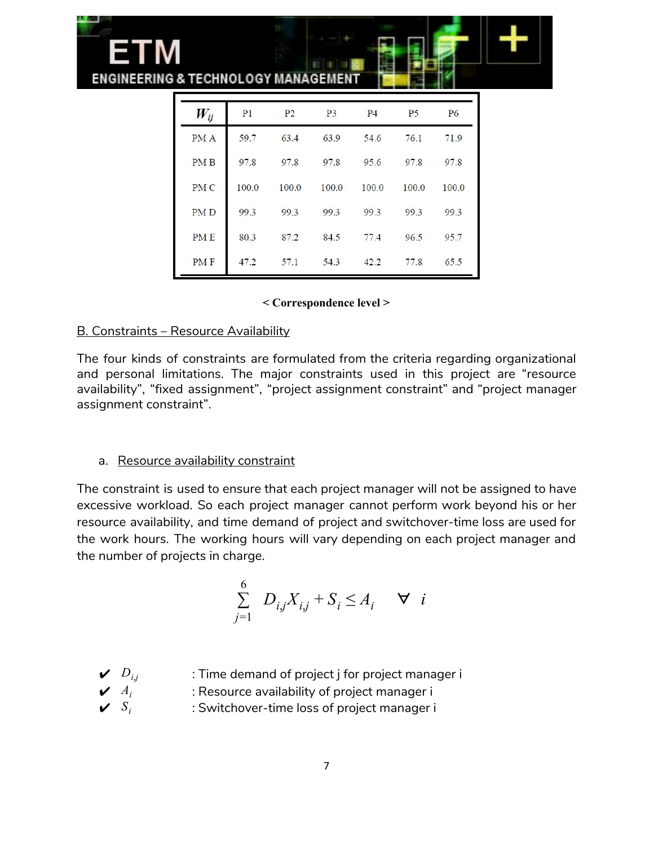

#### **< Correspondence level >**

#### B. Constraints – Resource Availability

The four kinds of constraints are formulated from the criteria regarding organizational and personal limitations. The major constraints used in this project are "resource availability", "fixed assignment", "project assignment constraint" and "project manager assignment constraint".

#### a. Resource availability constraint

The constraint is used to ensure that each project manager will not be assigned to have excessive workload. So each project manager cannot perform work beyond his or her resource availability, and time demand of project and switchover-time loss are used for the work hours. The working hours will vary depending on each project manager and the number of projects in charge.

$$
\sum_{j=1}^{6} D_{ij}X_{ij} + S_i \le A_i \quad \forall \quad i
$$

- $D_{ij}$   $\qquad$  : Time demand of project j for project manager i
	- $A_i$  : Resource availability of project manager i
- $\boldsymbol{\mathcal{S}}_i$   $S_i$  : Switchover-time loss of project manager i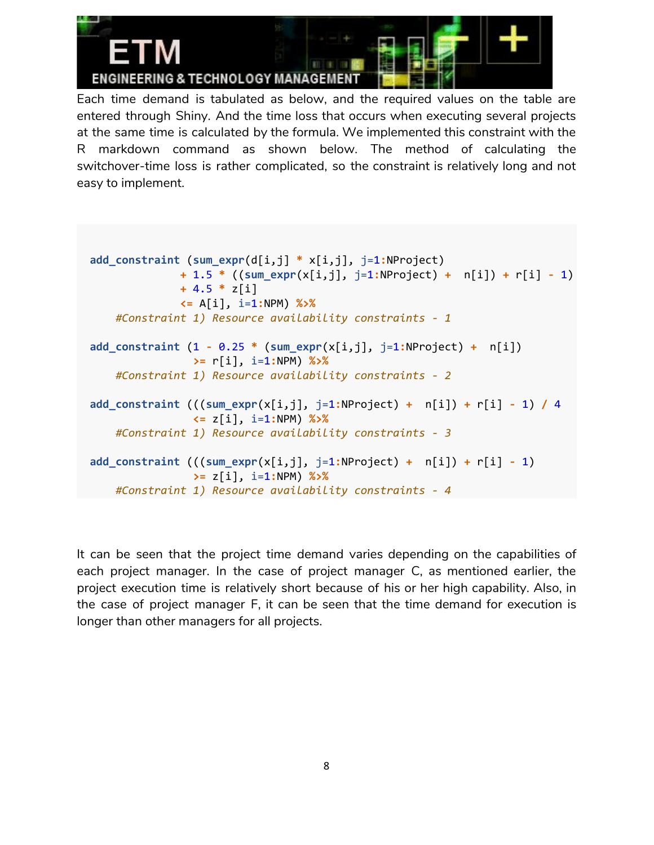

Each time demand is tabulated as below, and the required values on the table are entered through Shiny. And the time loss that occurs when executing several projects at the same time is calculated by the formula. We implemented this constraint with the R markdown command as shown below. The method of calculating the switchover-time loss is rather complicated, so the constraint is relatively long and not easy to implement.

```
add_constraint (sum_expr(d[i,j] * x[i,j], j=1:NProject)
              + 1.5 * ((sum_expr(x[i,j], j=1:NProject) + n[i]) + r[i] - 1)
             + 4.5 * z[i]
              <= A[i], i=1:NPM) %>%
    #Constraint 1) Resource availability constraints - 1
add_constraint (1 - 0.25 * (sum_expr(x[i,j], j=1:NProject) + n[i])
                >= r[i], i=1:NPM) %>%
    #Constraint 1) Resource availability constraints - 2
add_constraint (((sum_expr(x[i,j], j=1:NProject) + n[i]) + r[i] - 1) / 4
                <= z[i], i=1:NPM) %>%
    #Constraint 1) Resource availability constraints - 3
add_constraint (((sum_expr(x[i,j], j=1:NProject) + n[i]) + r[i] - 1)
                >= z[i], i=1:NPM) %>%
   #Constraint 1) Resource availability constraints - 4
```
It can be seen that the project time demand varies depending on the capabilities of each project manager. In the case of project manager C, as mentioned earlier, the project execution time is relatively short because of his or her high capability. Also, in the case of project manager F, it can be seen that the time demand for execution is longer than other managers for all projects.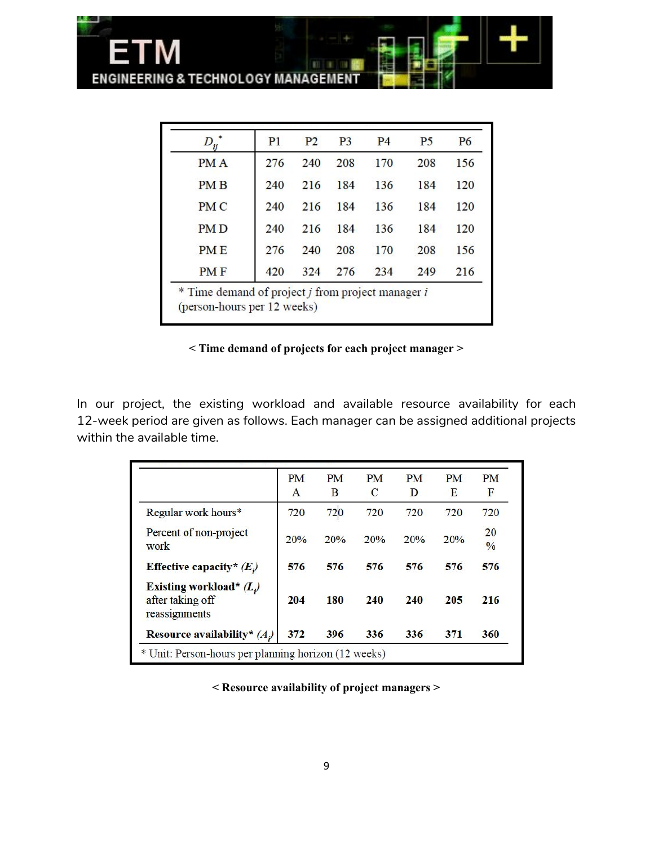

ETM

| D          | P <sub>1</sub> | P <sub>2</sub> | P <sub>3</sub> | P <sub>4</sub> | P <sub>5</sub> | <b>P6</b> |
|------------|----------------|----------------|----------------|----------------|----------------|-----------|
| <b>PMA</b> | 276            | 240            | 208            | 170            | 208            | 156       |
| PM B       | 240            | 216            | 184            | 136            | 184            | 120       |
| <b>PMC</b> | 240            | 216            | 184            | 136            | 184            | 120       |
| <b>PMD</b> | 240            | 216            | 184            | 136            | 184            | 120       |
| <b>PME</b> | 276            | 240            | 208            | 170            | 208            | 156       |
| <b>PMF</b> | 420            | 324            | 276            | 234            | 249            | 216       |

**< Time demand of projects for each project manager >**

In our project, the existing workload and available resource availability for each 12-week period are given as follows. Each manager can be assigned additional projects within the available time.

|                                                               | PM<br>A | <b>PM</b><br>B | <b>PM</b><br>C | <b>PM</b><br>D | <b>PM</b><br>Е | <b>PM</b><br>F      |
|---------------------------------------------------------------|---------|----------------|----------------|----------------|----------------|---------------------|
| Regular work hours*                                           | 720     | 720            | 720            | 720            | 720            | 720                 |
| Percent of non-project<br>work                                | 20%     | 20%            | 20%            | 20%            | 20%            | 20<br>$\frac{0}{0}$ |
| Effective capacity* $(E)$                                     | 576     | 576            | 576            | 576            | 576            | 576                 |
| Existing workload* $(L)$<br>after taking off<br>reassignments | 204     | 180            | 240            | 240            | 205            | 216                 |
| Resource availability* $(A)$                                  | 372     | 396            | 336            | 336            | 371            | 360                 |

**< Resource availability of project managers >**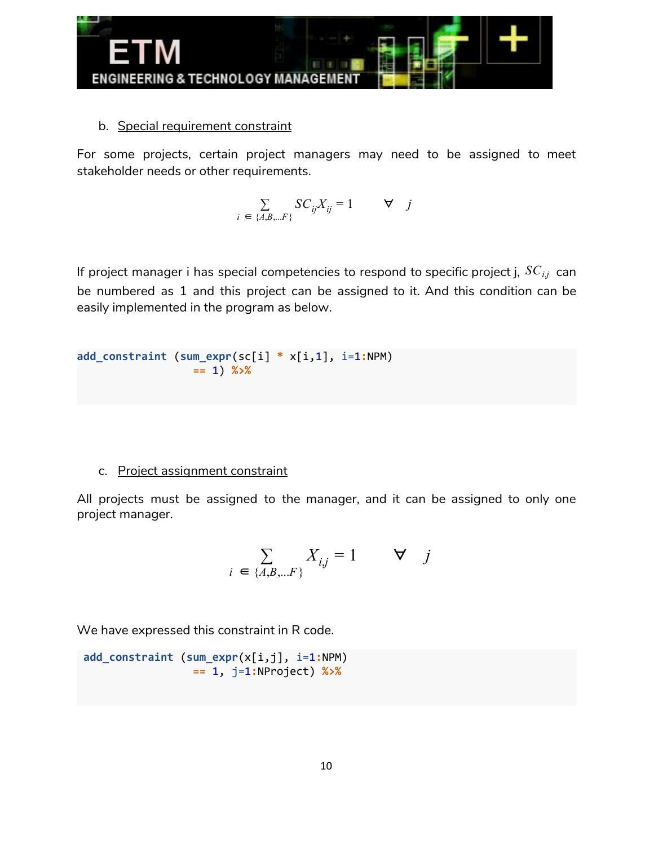

b. Special requirement constraint

For some projects, certain project managers may need to be assigned to meet stakeholder needs or other requirements.

$$
\sum_{i \in \{A, B, \dots F\}} SC_{ij} X_{ij} = 1 \qquad \forall j
$$

If project manager i has special competencies to respond to specific project j, *SCi*,*<sup>j</sup>* can be numbered as 1 and this project can be assigned to it. And this condition can be easily implemented in the program as below.

```
add_constraint (sum_expr(sc[i] * x[i,1], i=1:NPM)
                  == 1) %>%
```
### c. Project assignment constraint

All projects must be assigned to the manager, and it can be assigned to only one project manager.

$$
\sum_{i \in \{A, B, \dots F\}} X_{ij} = 1 \qquad \forall \quad j
$$

We have expressed this constraint in R code.

**add\_constraint** (**sum\_expr**(x[i,j], i=1**:**NPM) **==** 1, j=1**:**NProject) **%>%**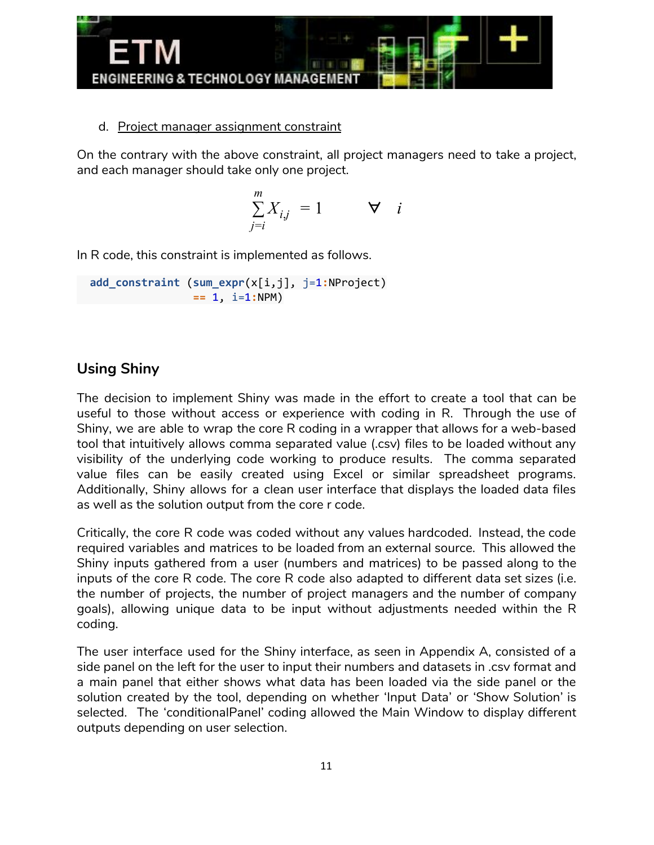

#### d. Project manager assignment constraint

On the contrary with the above constraint, all project managers need to take a project, and each manager should take only one project.

$$
\sum_{j=i}^{m} X_{i,j} = 1 \qquad \forall \quad i
$$

In R code, this constraint is implemented as follows.

**add\_constraint** (**sum\_expr**(x[i,j], j=1**:**NProject) **==** 1, i=1**:**NPM)

## **Using Shiny**

The decision to implement Shiny was made in the effort to create a tool that can be useful to those without access or experience with coding in R. Through the use of Shiny, we are able to wrap the core R coding in a wrapper that allows for a web-based tool that intuitively allows comma separated value (.csv) files to be loaded without any visibility of the underlying code working to produce results. The comma separated value files can be easily created using Excel or similar spreadsheet programs. Additionally, Shiny allows for a clean user interface that displays the loaded data files as well as the solution output from the core r code.

Critically, the core R code was coded without any values hardcoded. Instead, the code required variables and matrices to be loaded from an external source. This allowed the Shiny inputs gathered from a user (numbers and matrices) to be passed along to the inputs of the core R code. The core R code also adapted to different data set sizes (i.e. the number of projects, the number of project managers and the number of company goals), allowing unique data to be input without adjustments needed within the R coding.

The user interface used for the Shiny interface, as seen in Appendix A, consisted of a side panel on the left for the user to input their numbers and datasets in .csv format and a main panel that either shows what data has been loaded via the side panel or the solution created by the tool, depending on whether 'Input Data' or 'Show Solution' is selected. The 'conditionalPanel' coding allowed the Main Window to display different outputs depending on user selection.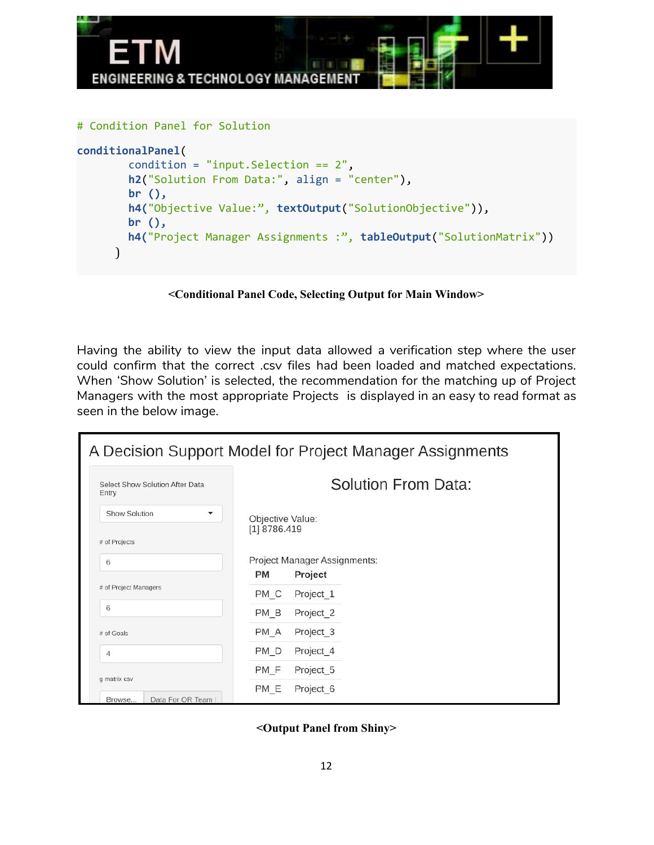

```
conditionalPanel(
        condition = "input.Selection == 2",
        h2("Solution From Data:", align = "center"),
        br (),
        h4("Objective Value:", textOutput("SolutionObjective")),
        br (),
        h4("Project Manager Assignments :", tableOutput("SolutionMatrix"))
      )
```
**<Conditional Panel Code, Selecting Output for Main Window>**

Having the ability to view the input data allowed a verification step where the user could confirm that the correct .csv files had been loaded and matched expectations. When 'Show Solution' is selected, the recommendation for the matching up of Project Managers with the most appropriate Projects is displayed in an easy to read format as seen in the below image.

|                                                                | A Decision Support Model for Project Manager Assignments |
|----------------------------------------------------------------|----------------------------------------------------------|
| Select Show Solution After Data<br>Entry                       | Solution From Data:                                      |
| Show Solution<br>▼                                             | Objective Value:                                         |
| # of Projects                                                  | $[1]$ 8786.419                                           |
| 6                                                              | Project Manager Assignments:                             |
|                                                                | Project<br>PM                                            |
| # of Project Managers                                          | Project <sub>1</sub><br>PM C                             |
| 6                                                              | PM B<br>Project_2                                        |
| # of Goals                                                     | PM A<br>Project_3                                        |
| $\overline{4}$                                                 | PM D<br>Project <sub>4</sub>                             |
| g matrix csv                                                   | PM F<br>Project 5                                        |
| Deta Fer OD Teams<br><b>Changed</b> and the first of the local | PM E<br>Project 6                                        |

**<Output Panel from Shiny>**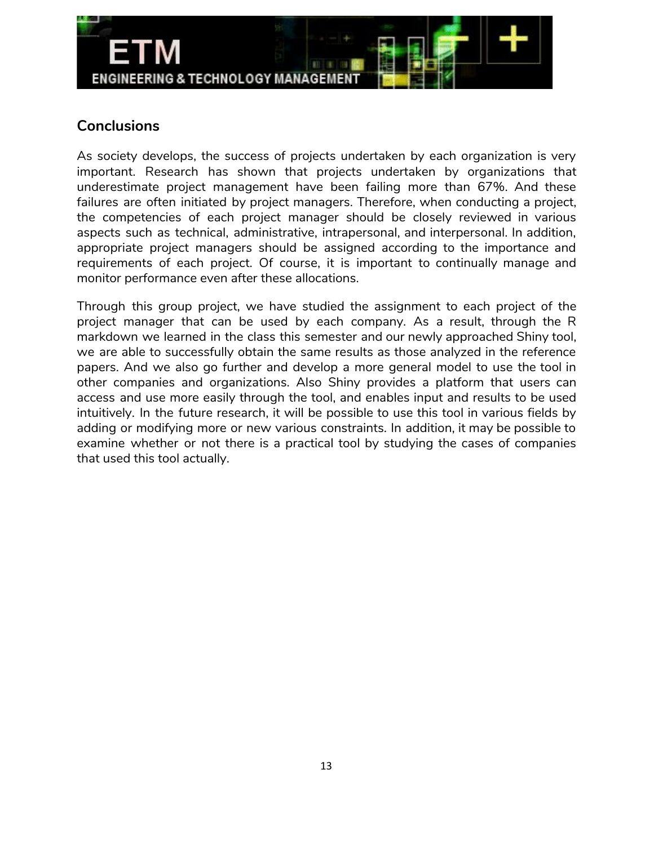

## **Conclusions**

As society develops, the success of projects undertaken by each organization is very important. Research has shown that projects undertaken by organizations that underestimate project management have been failing more than 67%. And these failures are often initiated by project managers. Therefore, when conducting a project, the competencies of each project manager should be closely reviewed in various aspects such as technical, administrative, intrapersonal, and interpersonal. In addition, appropriate project managers should be assigned according to the importance and requirements of each project. Of course, it is important to continually manage and monitor performance even after these allocations.

Through this group project, we have studied the assignment to each project of the project manager that can be used by each company. As a result, through the R markdown we learned in the class this semester and our newly approached Shiny tool, we are able to successfully obtain the same results as those analyzed in the reference papers. And we also go further and develop a more general model to use the tool in other companies and organizations. Also Shiny provides a platform that users can access and use more easily through the tool, and enables input and results to be used intuitively. In the future research, it will be possible to use this tool in various fields by adding or modifying more or new various constraints. In addition, it may be possible to examine whether or not there is a practical tool by studying the cases of companies that used this tool actually.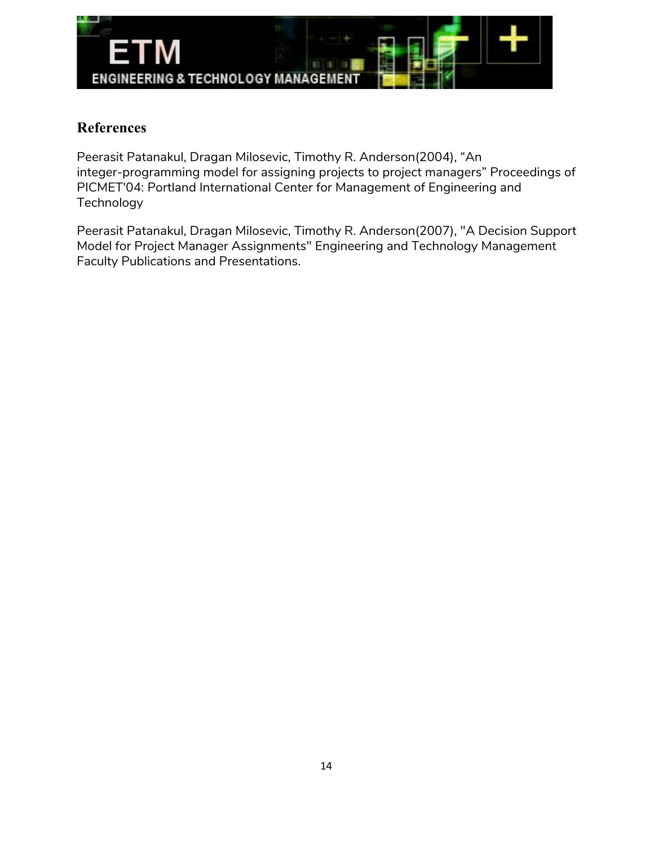

## **References**

Peerasit Patanakul, Dragan Milosevic, Timothy R. Anderson(2004), "An integer-programming model for assigning projects to project managers" Proceedings of PICMET'04: Portland International Center for Management of Engineering and Technology

Peerasit Patanakul, Dragan Milosevic, Timothy R. Anderson(2007), "A Decision Support Model for Project Manager Assignments" Engineering and Technology Management Faculty Publications and Presentations.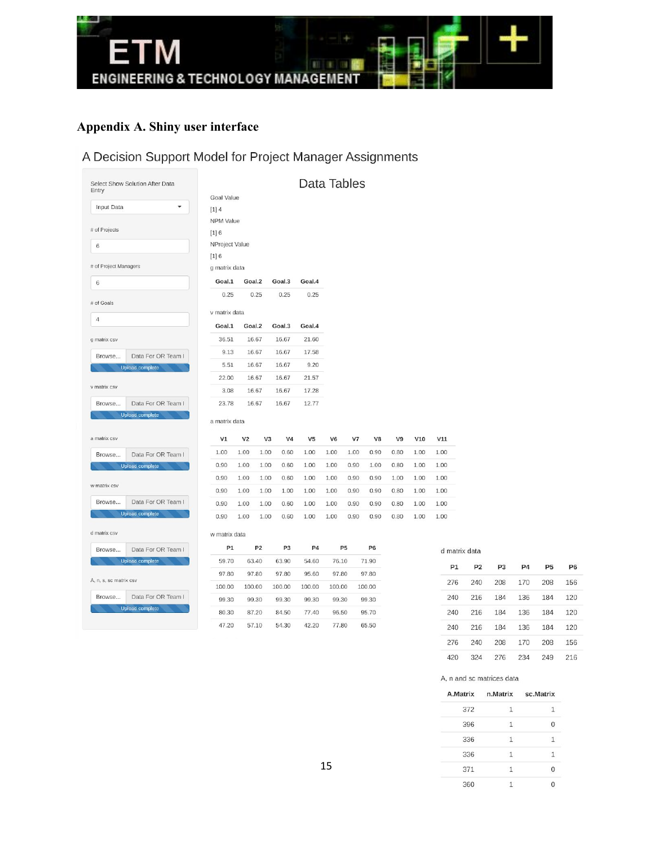

# **Appendix A. Shiny user interface**

# A Decision Support Model for Project Manager Assignments

| Entry                  | Select Show Solution After Data |                  |                |                |                | Data Tables    |                |                |                |      |
|------------------------|---------------------------------|------------------|----------------|----------------|----------------|----------------|----------------|----------------|----------------|------|
|                        |                                 | Goal Value       |                |                |                |                |                |                |                |      |
| Input Data             |                                 | $[1] 4$          |                |                |                |                |                |                |                |      |
|                        |                                 | <b>NPM Value</b> |                |                |                |                |                |                |                |      |
| # of Projects          |                                 | $[1] 6$          |                |                |                |                |                |                |                |      |
| 6                      |                                 | NProject Value   |                |                |                |                |                |                |                |      |
|                        |                                 | $[1] 6$          |                |                |                |                |                |                |                |      |
| # of Project Managers  |                                 | g matrix data    |                |                |                |                |                |                |                |      |
| 6                      |                                 | Goal.1           | Goal.2         |                | Goal.3         | Goal.4         |                |                |                |      |
| # of Goals             |                                 | 0.25             |                | 0.25           | 0.25           | 0.25           |                |                |                |      |
| $\overline{4}$         |                                 | v matrix data    |                |                |                |                |                |                |                |      |
|                        |                                 | Goal.1           | Goal.2         |                | Goal.3         | Goal.4         |                |                |                |      |
| g matrix csv           |                                 | 36.51            |                | 16.67          | 16.67          | 21.60          |                |                |                |      |
| Browse                 | Data For OR Team I              | 9.13             |                | 16.67          | 16.67          | 17.58          |                |                |                |      |
|                        | <b>Upload complete</b>          | 5.51             |                | 16.67          | 16.67          | 9.20           |                |                |                |      |
|                        |                                 | 22.00            |                | 16.67          | 16.67          | 21.57          |                |                |                |      |
| v matrix csv           |                                 | 3.08             |                | 16.67          | 16.67          | 17.28          |                |                |                |      |
| Browse                 | Data For OR Team I              | 23.78            |                | 16.67          | 16.67          | 12.77          |                |                |                |      |
|                        | <b>Upload complete</b>          | a matrix data    |                |                |                |                |                |                |                |      |
| a matrix csv           |                                 | V1               | V <sub>2</sub> | V3             | V4             | V <sub>5</sub> | V <sub>6</sub> | V7             | V8             | V9   |
| Browse                 | Data For OR Team I              | 1.00             | 1.00           | 1.00           | 0.60           | 1.00           | 1.00           | 1.00           | 0.90           | 0.80 |
|                        | <b>Upload complete</b>          | 0.90             | 1.00           | 1.00           | 0.60           | 1.00           | 1.00           | 0.90           | 1.00           | 0.80 |
|                        |                                 | 0.90             | 1.00           | 1.00           | 0.60           | 1.00           | 1.00           | 0.90           | 0.90           | 1.00 |
| w matrix csv           |                                 | 0.90             | 1.00           | 1.00           | 1.00           | 1.00           | 1.00           | 0.90           | 0.90           | 0.80 |
| Browse                 | Data For OR Team I              | 0.90             | 1.00           | 1.00           | 0.60           | 1.00           | 1.00           | 0.90           | 0.90           | 0.80 |
|                        | <b>Upload complete</b>          | 0.90             | 1.00           | 1.00           | 0.60           | 1.00           | 1.00           | 0.90           | 0.90           | 0.80 |
| d matrix csv           |                                 | w matrix data    |                |                |                |                |                |                |                |      |
| Browse                 | Data For OR Team I              | P1               |                | P <sub>2</sub> | P <sub>3</sub> | P <sub>4</sub> |                | P <sub>5</sub> | P <sub>6</sub> |      |
|                        | <b>Upload complete</b>          | 59.70            |                | 63.40          | 63.90          | 54.60          | 76.10          |                | 71.90          |      |
| A, n, s, sc matrix csv |                                 | 97.80            |                | 97.80          | 97.80          | 95.60          | 97.80          |                | 97.80          |      |
|                        |                                 | 100.00           | 100.00         |                | 100.00         | 100.00         | 100.00         |                | 100.00         |      |
| Browse                 | Data For OR Team I              | 99.30            |                | 99.30          | 99.30          | 99.30          | 99.30          |                | 99.30          |      |
|                        | <b>Upload complete</b>          | 80.30            |                | 87.20          | 84.50          | 77.40          | 96.50          |                | 95.70          |      |
|                        |                                 | 47.20            |                | 57.10          | 54.30          | 42.20          | 77.80          |                | 65.50          |      |

d matrix data

 $\mathsf{V10}$ 

 $1.00\,$  $1.00\,$  $1.00$  $1.00$ 

 $1.00\,$  $1.00\,$ 

 $1.00$  $1.00$ 

 $\mathtt{V11}$ 

 $1.00\,$  $1.00$ 1.00 1.00

| P1  | <b>P2</b> | P <sub>3</sub> | P <sub>4</sub> | <b>P5</b> | P <sub>6</sub> |
|-----|-----------|----------------|----------------|-----------|----------------|
| 276 | 240       | 208            | 170            | 208       | 156            |
| 240 | 216       | 184            | 136            | 184       | 120            |
| 240 | 216       | 184            | 136            | 184       | 120            |
| 240 | 216       | 184            | 136            | 184       | 120            |
| 276 | 240       | 208            | 170            | 208       | 156            |
| 420 | 324       | 276            | 234            | 249       | 216            |

A, n and sc matrices data

|     | A.Matrix n.Matrix sc.Matrix |    |
|-----|-----------------------------|----|
| 372 | 1                           | ı. |
| 396 | 1                           | Ω  |
| 336 | $\mathbf{1}$                | 1  |
| 336 | $\mathbf{1}$                |    |
| 371 | $\mathbf{1}$                | O  |
| 360 |                             | Ω  |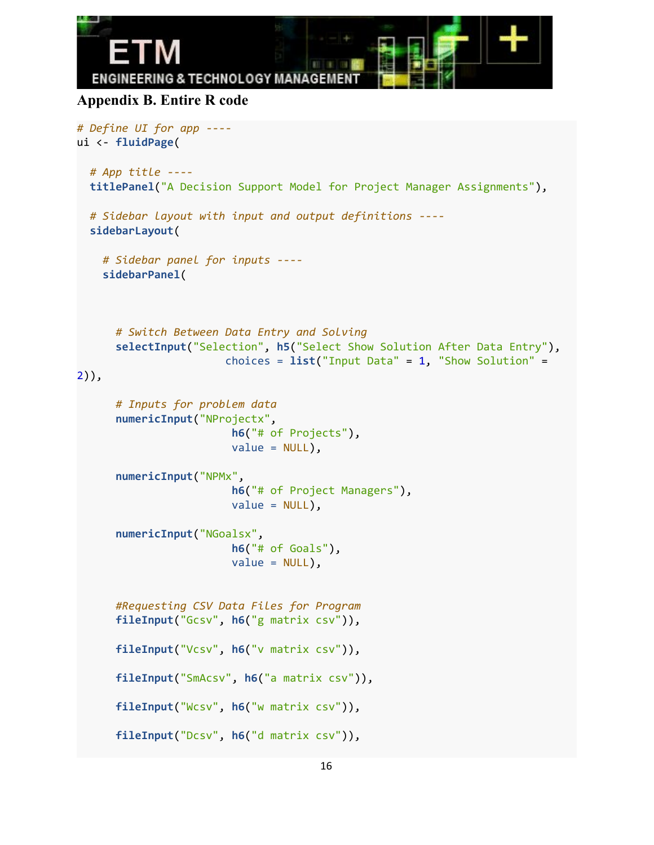```
ENGINEERING & TECHNOLOGY MANAGEMEN
Appendix B. Entire R code
# Define UI for app ----
ui <- fluidPage(
 # App title ----
 titlePanel("A Decision Support Model for Project Manager Assignments"),
 # Sidebar layout with input and output definitions ----
 sidebarLayout(
   # Sidebar panel for inputs ----
    sidebarPanel(
```

```
# Switch Between Data Entry and Solving
selectInput("Selection", h5("Select Show Solution After Data Entry"),
                 choices = list("Input Data" = 1, "Show Solution" =
```

```
2)),
```

```
# Inputs for problem data
numericInput("NProjectx",
                  h6("# of Projects"),
                  value = NULL,
numericInput("NPMx",
                  h6("# of Project Managers"),
                  value = NULL,
numericInput("NGoalsx",
                  h6("# of Goals"),
                  value = NULL,
#Requesting CSV Data Files for Program
fileInput("Gcsv", h6("g matrix csv")),
fileInput("Vcsv", h6("v matrix csv")),
fileInput("SmAcsv", h6("a matrix csv")),
fileInput("Wcsv", h6("w matrix csv")),
fileInput("Dcsv", h6("d matrix csv")),
```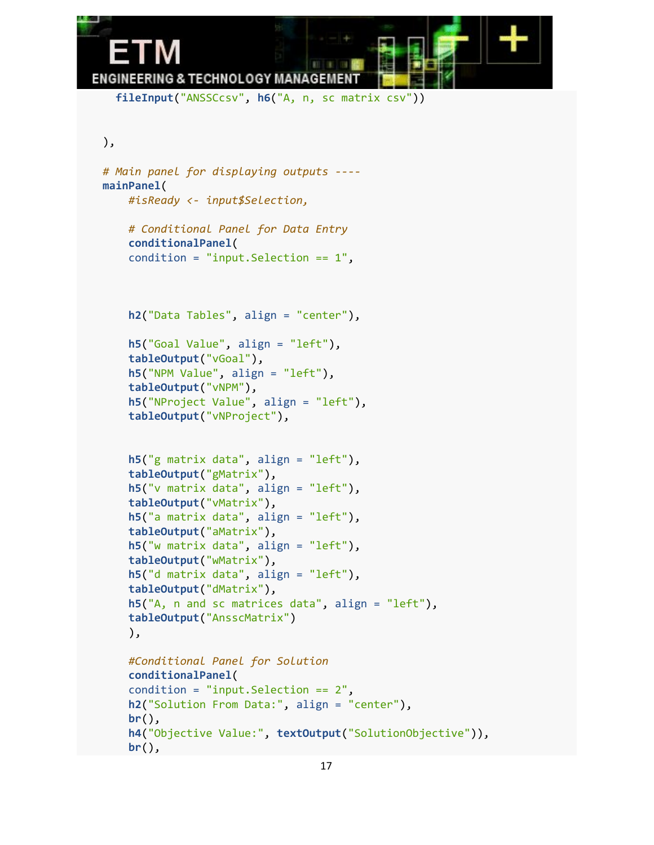

**fileInput**("ANSSCcsv", **h6**("A, n, sc matrix csv"))

```
),
```
**br**(),

```
# Main panel for displaying outputs ----
mainPanel(
   #isReady <- input$Selection,
   # Conditional Panel for Data Entry
    conditionalPanel(
    condition = "input.Selection == 1",
    h2("Data Tables", align = "center"),
    h5("Goal Value", align = "left"),
    tableOutput("vGoal"),
    h5("NPM Value", align = "left"),
    tableOutput("vNPM"),
    h5("NProject Value", align = "left"),
   tableOutput("vNProject"),
    h5("g matrix data", align = "left"),
    tableOutput("gMatrix"),
    h5("v matrix data", align = "left"),
    tableOutput("vMatrix"),
    h5("a matrix data", align = "left"),
   tableOutput("aMatrix"),
    h5("w matrix data", align = "left"),
    tableOutput("wMatrix"),
    h5("d matrix data", align = "left"),
    tableOutput("dMatrix"),
    h5("A, n and sc matrices data", align = "left"),
    tableOutput("AnsscMatrix")
    ),
    #Conditional Panel for Solution
    conditionalPanel(
    condition = "input.Selection == 2",
    h2("Solution From Data:", align = "center"),
    br(),
    h4("Objective Value:", textOutput("SolutionObjective")),
```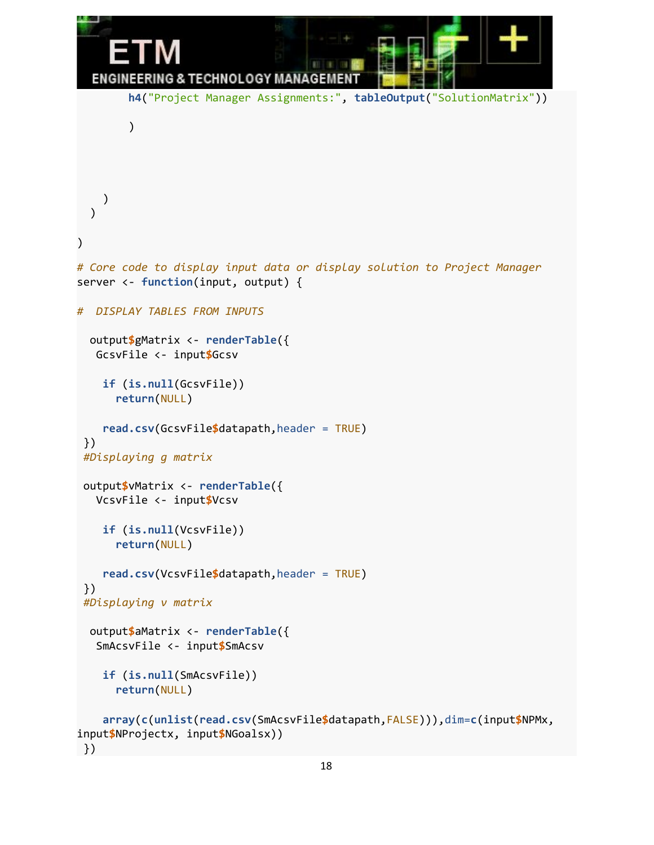```
ENGINEERING & TECHNOLOGY MANAGEMENT
        h4("Project Manager Assignments:", tableOutput("SolutionMatrix"))
        )
    )
  )
)
# Core code to display input data or display solution to Project Manager
server <- function(input, output) {
# DISPLAY TABLES FROM INPUTS
  output$gMatrix <- renderTable({
  GcsvFile <- input$Gcsv
    if (is.null(GcsvFile))
      return(NULL)
    read.csv(GcsvFile$datapath,header = TRUE)
 })
 #Displaying g matrix
 output$vMatrix <- renderTable({
  VcsvFile <- input$Vcsv
    if (is.null(VcsvFile))
      return(NULL)
    read.csv(VcsvFile$datapath,header = TRUE)
 })
 #Displaying v matrix
  output$aMatrix <- renderTable({
   SmAcsvFile <- input$SmAcsv
    if (is.null(SmAcsvFile))
      return(NULL)
    array(c(unlist(read.csv(SmAcsvFile$datapath,FALSE))),dim=c(input$NPMx,
input$NProjectx, input$NGoalsx))
```

```
})
```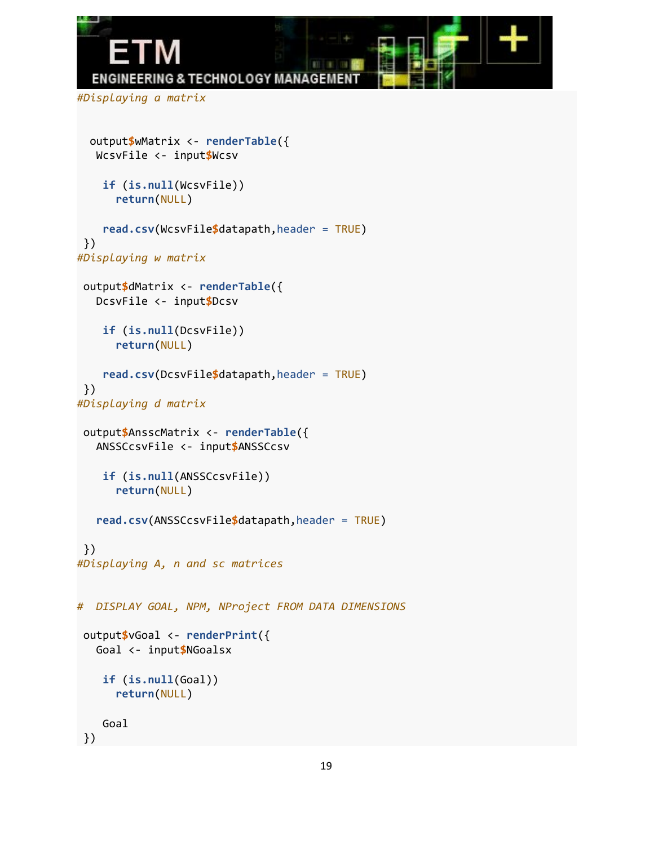```
ENGINEERING & TECHNOLOGY MANAGEMEN
#Displaying a matrix
 output$wMatrix <- renderTable({
  WcsvFile <- input$Wcsv
   if (is.null(WcsvFile))
     return(NULL)
   read.csv(WcsvFile$datapath,header = TRUE)
})
#Displaying w matrix
output$dMatrix <- renderTable({
  DcsvFile <- input$Dcsv
   if (is.null(DcsvFile))
     return(NULL)
   read.csv(DcsvFile$datapath,header = TRUE)
})
```

```
#Displaying d matrix
```

```
output$AnsscMatrix <- renderTable({
  ANSSCcsvFile <- input$ANSSCcsv
```

```
if (is.null(ANSSCcsvFile))
  return(NULL)
```

```
read.csv(ANSSCcsvFile$datapath,header = TRUE)
```

```
})
#Displaying A, n and sc matrices
```

```
# DISPLAY GOAL, NPM, NProject FROM DATA DIMENSIONS
 output$vGoal <- renderPrint({
  Goal <- input$NGoalsx
    if (is.null(Goal))
      return(NULL)
    Goal
 })
```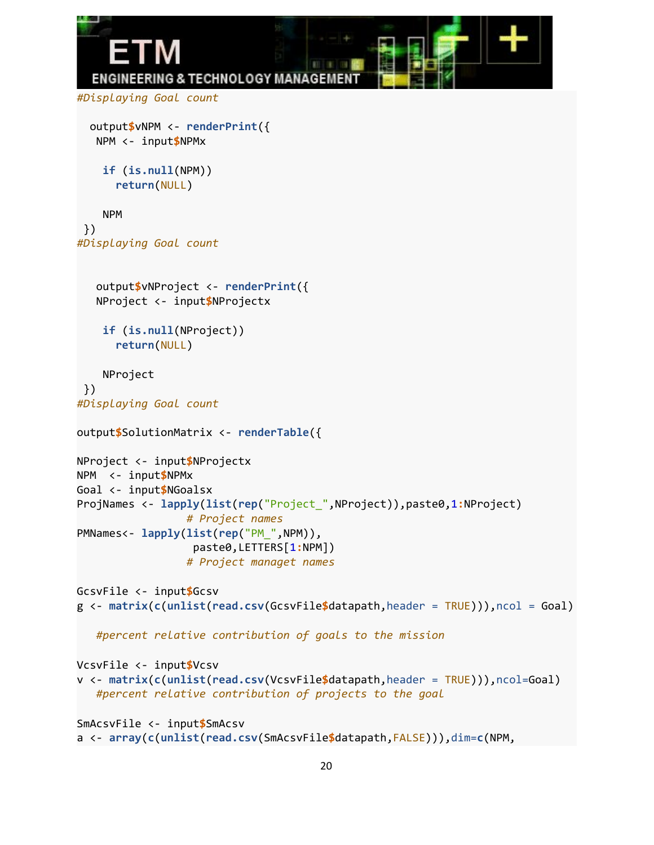```
ENGINEERING & TECHNOLOGY MANAGEMEN
#Displaying Goal count
  output$vNPM <- renderPrint({
   NPM <- input$NPMx
    if (is.null(NPM))
      return(NULL)
    NPM
 })
#Displaying Goal count
   output$vNProject <- renderPrint({
   NProject <- input$NProjectx
    if (is.null(NProject))
      return(NULL)
    NProject
 })
#Displaying Goal count
output$SolutionMatrix <- renderTable({
NProject <- input$NProjectx
NPM <- input$NPMx
Goal <- input$NGoalsx
ProjNames <- lapply(list(rep("Project_",NProject)),paste0,1:NProject)
                 # Project names
PMNames<- lapply(list(rep("PM_",NPM)),
                  paste0,LETTERS[1:NPM])
                 # Project managet names
GcsvFile <- input$Gcsv
g <- matrix(c(unlist(read.csv(GcsvFile$datapath,header = TRUE))),ncol = Goal)
   #percent relative contribution of goals to the mission
VcsvFile <- input$Vcsv
v <- matrix(c(unlist(read.csv(VcsvFile$datapath,header = TRUE))),ncol=Goal)
   #percent relative contribution of projects to the goal
SmAcsvFile <- input$SmAcsv
a <- array(c(unlist(read.csv(SmAcsvFile$datapath,FALSE))),dim=c(NPM,
```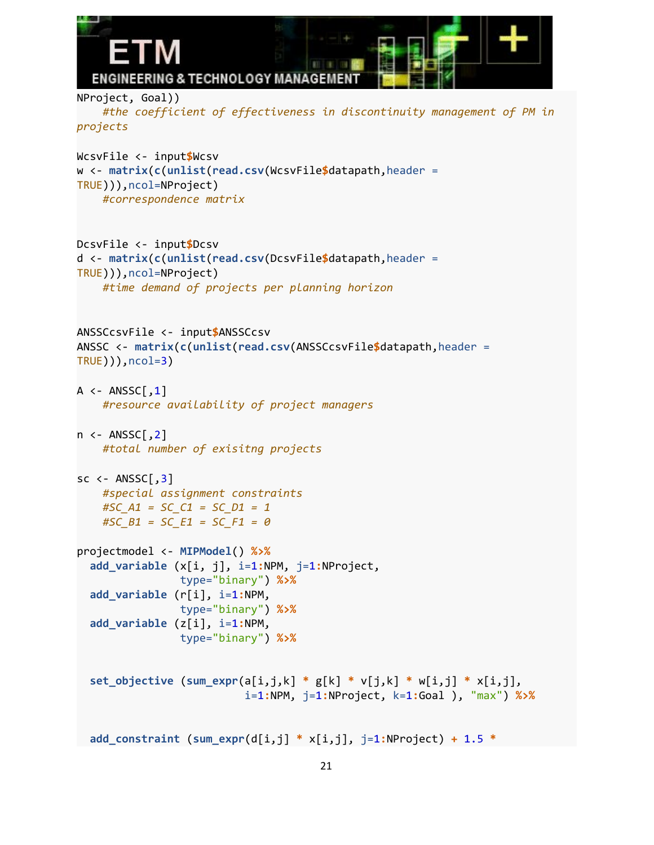```
ENGINEERING & TECHNOLOGY MANAGEMENT
NProject, Goal))
    #the coefficient of effectiveness in discontinuity management of PM in
projects
WcsvFile <- input$Wcsv
w <- matrix(c(unlist(read.csv(WcsvFile$datapath,header =
TRUE))),ncol=NProject)
    #correspondence matrix
DcsvFile <- input$Dcsv
d <- matrix(c(unlist(read.csv(DcsvFile$datapath,header =
TRUE))),ncol=NProject)
    #time demand of projects per planning horizon
ANSSCcsvFile <- input$ANSSCcsv
ANSSC <- matrix(c(unlist(read.csv(ANSSCcsvFile$datapath,header =
TRUE))),ncol=3)
A \leftarrow ANSSC[, 1]
    #resource availability of project managers
n \leftarrow ANSSC[, 2]
    #total number of exisitng projects
sc \leftarrow ANSSC[, 3]
   #special assignment constraints
    #SC_A1 = SC_C1 = SC_D1 = 1
    #SC_B1 = SC_E1 = SC_F1 = 0
projectmodel <- MIPModel() %>%
  add_variable (x[i, j], i=1:NPM, j=1:NProject,
                type="binary") %>%
  add_variable (r[i], i=1:NPM,
                type="binary") %>%
  add_variable (z[i], i=1:NPM,
                type="binary") %>%
  set_objective (sum_expr(a[i,j,k] * g[k] * v[j,k] * w[i,j] * x[i,j],
                          i=1:NPM, j=1:NProject, k=1:Goal ), "max") %>%
  add_constraint (sum_expr(d[i,j] * x[i,j], j=1:NProject) + 1.5 *
```

```
21
```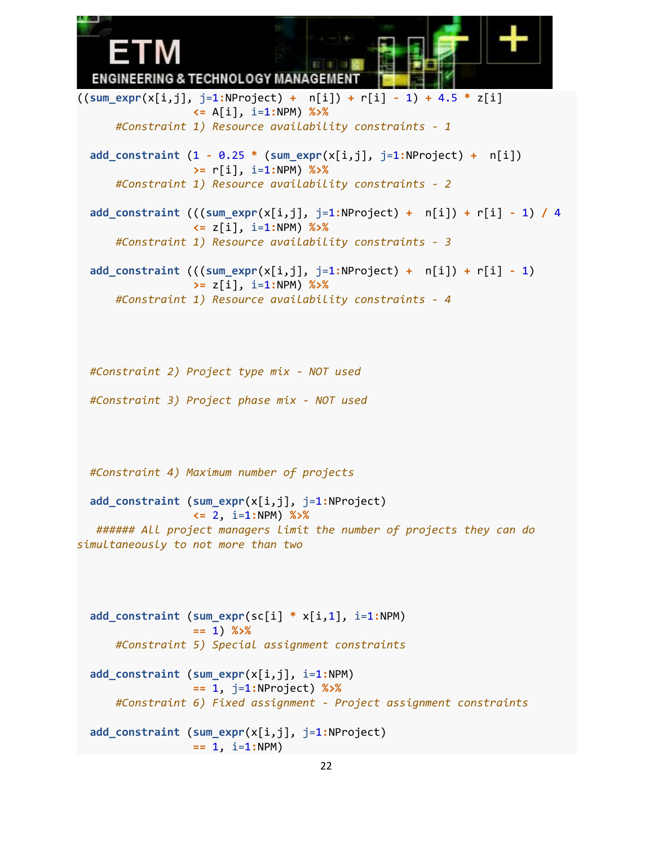ENGINEERING & TECHNOLOGY MANAGEMEN'

((**sum\_expr**(x[i,j], j=1**:**NProject) **+** n[i]) **+** r[i] **-** 1) **+** 4.5 **\*** z[i] **<=** A[i], i=1**:**NPM) **%>%** *#Constraint 1) Resource availability constraints - 1* **add\_constraint** (1 **-** 0.25 **\*** (**sum\_expr**(x[i,j], j=1**:**NProject) **+** n[i]) **>=** r[i], i=1**:**NPM) **%>%** *#Constraint 1) Resource availability constraints - 2* **add\_constraint** (((**sum\_expr**(x[i,j], j=1**:**NProject) **+** n[i]) **+** r[i] **-** 1) **/** 4 **<=** z[i], i=1**:**NPM) **%>%** *#Constraint 1) Resource availability constraints - 3* **add\_constraint** (((**sum\_expr**(x[i,j], j=1**:**NProject) **+** n[i]) **+** r[i] **-** 1) **>=** z[i], i=1**:**NPM) **%>%** *#Constraint 1) Resource availability constraints - 4 #Constraint 2) Project type mix - NOT used #Constraint 3) Project phase mix - NOT used #Constraint 4) Maximum number of projects* **add\_constraint** (**sum\_expr**(x[i,j], j=1**:**NProject) **<=** 2, i=1**:**NPM) **%>%** *###### All project managers limit the number of projects they can do simultaneously to not more than two* **add\_constraint** (**sum\_expr**(sc[i] **\*** x[i,1], i=1**:**NPM) **==** 1) **%>%** *#Constraint 5) Special assignment constraints* **add\_constraint** (**sum\_expr**(x[i,j], i=1**:**NPM) **==** 1, j=1**:**NProject) **%>%** *#Constraint 6) Fixed assignment - Project assignment constraints*

```
add_constraint (sum_expr(x[i,j], j=1:NProject)
               = 1, i=1:NPM
```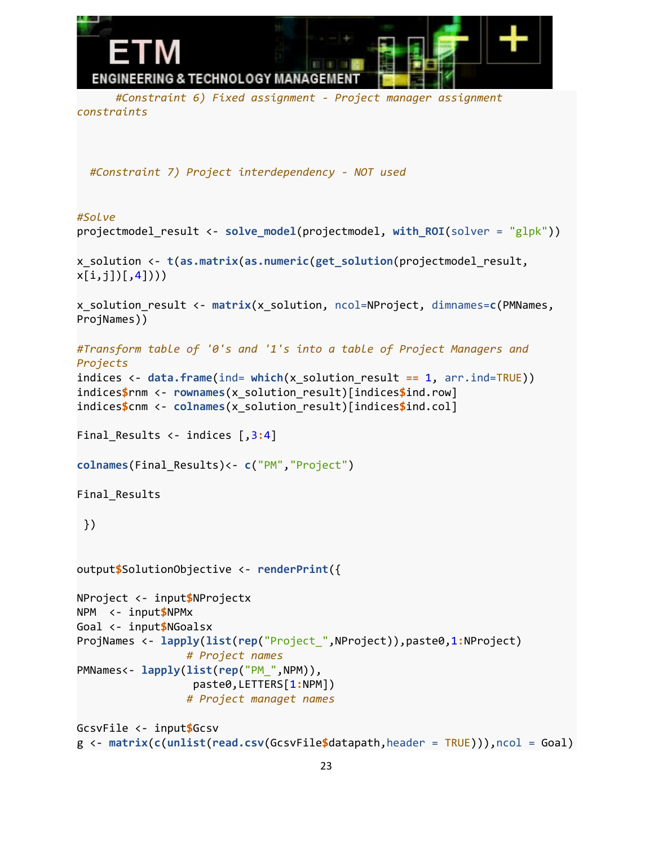

*#Constraint 6) Fixed assignment - Project manager assignment constraints*

*#Constraint 7) Project interdependency - NOT used*

```
#Solve
projectmodel_result <- solve_model(projectmodel, with_ROI(solver = "glpk"))
x_solution <- t(as.matrix(as.numeric(get_solution(projectmodel_result,
x[i,j][,4])))
x_solution_result <- matrix(x_solution, ncol=NProject, dimnames=c(PMNames,
ProjNames))
#Transform table of '0's and '1's into a table of Project Managers and
Projects
indices <- data.frame(ind= which(x_solution_result == 1, arr.ind=TRUE))
indices$rnm <- rownames(x_solution_result)[indices$ind.row]
indices$cnm <- colnames(x_solution_result)[indices$ind.col]
Final Results <- indices [,3:4]
colnames(Final_Results)<- c("PM","Project")
Final_Results
 })
output$SolutionObjective <- renderPrint({
NProject <- input$NProjectx
NPM <- input$NPMx
Goal <- input$NGoalsx
ProjNames <- lapply(list(rep("Project_",NProject)),paste0,1:NProject)
                 # Project names
PMNames<- lapply(list(rep("PM_",NPM)),
                  paste0,LETTERS[1:NPM])
                 # Project managet names
GcsvFile <- input$Gcsv
```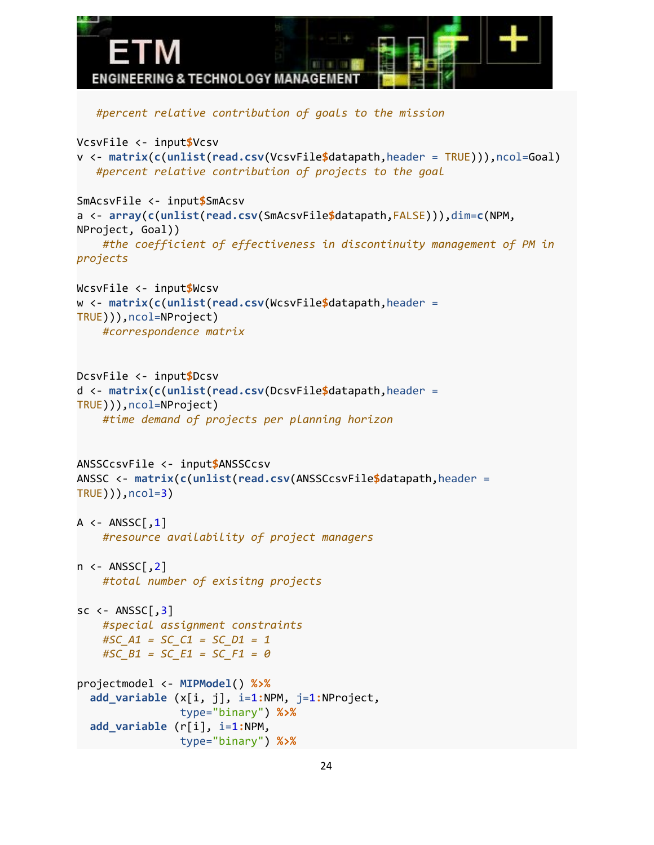```
ENGINEERING & TECHNOLOGY MANAGEMEN
   #percent relative contribution of goals to the mission
VcsvFile <- input$Vcsv
v <- matrix(c(unlist(read.csv(VcsvFile$datapath,header = TRUE))),ncol=Goal)
   #percent relative contribution of projects to the goal
SmAcsvFile <- input$SmAcsv
a <- array(c(unlist(read.csv(SmAcsvFile$datapath,FALSE))),dim=c(NPM,
NProject, Goal))
    #the coefficient of effectiveness in discontinuity management of PM in
projects
WcsvFile <- input$Wcsv
w <- matrix(c(unlist(read.csv(WcsvFile$datapath,header =
TRUE))),ncol=NProject)
    #correspondence matrix
DcsvFile <- input$Dcsv
d <- matrix(c(unlist(read.csv(DcsvFile$datapath,header =
TRUE))),ncol=NProject)
    #time demand of projects per planning horizon
ANSSCcsvFile <- input$ANSSCcsv
ANSSC <- matrix(c(unlist(read.csv(ANSSCcsvFile$datapath,header =
TRUE))),ncol=3)
A \leftarrow ANSSC[, 1]#resource availability of project managers
n <- ANSSC[,2]
    #total number of exisitng projects
sc \leftarrow ANSSC[,3]
    #special assignment constraints
    #SC_A1 = SC_C1 = SC_D1 = 1
   #SC_B1 = SC_E1 = SC_F1 = 0
projectmodel <- MIPModel() %>%
  add_variable (x[i, j], i=1:NPM, j=1:NProject,
                type="binary") %>%
  add_variable (r[i], i=1:NPM,
                type="binary") %>%
```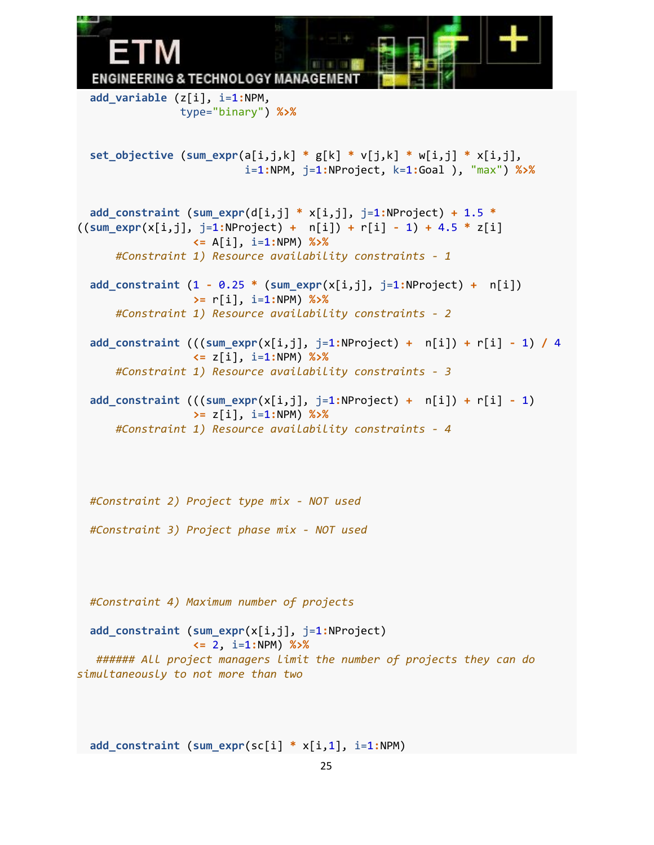**ENGINEERING & TECHNOLOGY MANAGEMEN add\_variable** (z[i], i=1**:**NPM, type="binary") **%>% set\_objective** (**sum\_expr**(a[i,j,k] **\*** g[k] **\*** v[j,k] **\*** w[i,j] **\*** x[i,j], i=1**:**NPM, j=1**:**NProject, k=1**:**Goal ), "max") **%>% add\_constraint** (**sum\_expr**(d[i,j] **\*** x[i,j], j=1**:**NProject) **+** 1.5 **\*** ((**sum\_expr**(x[i,j], j=1**:**NProject) **+** n[i]) **+** r[i] **-** 1) **+** 4.5 **\*** z[i] **<=** A[i], i=1**:**NPM) **%>%** *#Constraint 1) Resource availability constraints - 1* **add\_constraint** (1 **-** 0.25 **\*** (**sum\_expr**(x[i,j], j=1**:**NProject) **+** n[i]) **>=** r[i], i=1**:**NPM) **%>%** *#Constraint 1) Resource availability constraints - 2* **add\_constraint** (((**sum\_expr**(x[i,j], j=1**:**NProject) **+** n[i]) **+** r[i] **-** 1) **/** 4 **<=** z[i], i=1**:**NPM) **%>%** *#Constraint 1) Resource availability constraints - 3* **add\_constraint** (((**sum\_expr**(x[i,j], j=1**:**NProject) **+** n[i]) **+** r[i] **-** 1) **>=** z[i], i=1**:**NPM) **%>%** *#Constraint 1) Resource availability constraints - 4 #Constraint 2) Project type mix - NOT used #Constraint 3) Project phase mix - NOT used #Constraint 4) Maximum number of projects* **add\_constraint** (**sum\_expr**(x[i,j], j=1**:**NProject) **<=** 2, i=1**:**NPM) **%>%** *###### All project managers limit the number of projects they can do simultaneously to not more than two*

**add\_constraint** (**sum\_expr**(sc[i] **\*** x[i,1], i=1**:**NPM)